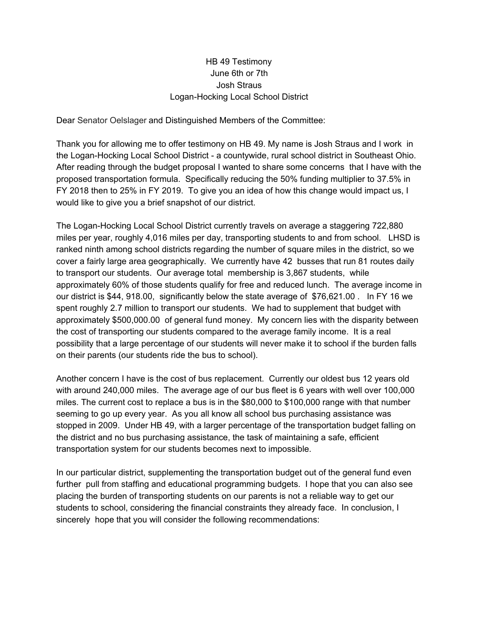## HB 49 Testimony June 6th or 7th Josh Straus Logan-Hocking Local School District

Dear Senator Oelslager and Distinguished Members of the Committee:

Thank you for allowing me to offer testimony on HB 49. My name is Josh Straus and I work in the Logan-Hocking Local School District - a countywide, rural school district in Southeast Ohio. After reading through the budget proposal I wanted to share some concerns that I have with the proposed transportation formula. Specifically reducing the 50% funding multiplier to 37.5% in FY 2018 then to 25% in FY 2019. To give you an idea of how this change would impact us, I would like to give you a brief snapshot of our district.

The Logan-Hocking Local School District currently travels on average a staggering 722,880 miles per year, roughly 4,016 miles per day, transporting students to and from school. LHSD is ranked ninth among school districts regarding the number of square miles in the district, so we cover a fairly large area geographically. We currently have 42 busses that run 81 routes daily to transport our students. Our average total membership is 3,867 students, while approximately 60% of those students qualify for free and reduced lunch. The average income in our district is \$44, 918.00, significantly below the state average of \$76,621.00 . In FY 16 we spent roughly 2.7 million to transport our students. We had to supplement that budget with approximately \$500,000.00 of general fund money. My concern lies with the disparity between the cost of transporting our students compared to the average family income. It is a real possibility that a large percentage of our students will never make it to school if the burden falls on their parents (our students ride the bus to school).

Another concern I have is the cost of bus replacement. Currently our oldest bus 12 years old with around 240,000 miles. The average age of our bus fleet is 6 years with well over 100,000 miles. The current cost to replace a bus is in the \$80,000 to \$100,000 range with that number seeming to go up every year. As you all know all school bus purchasing assistance was stopped in 2009. Under HB 49, with a larger percentage of the transportation budget falling on the district and no bus purchasing assistance, the task of maintaining a safe, efficient transportation system for our students becomes next to impossible.

In our particular district, supplementing the transportation budget out of the general fund even further pull from staffing and educational programming budgets. I hope that you can also see placing the burden of transporting students on our parents is not a reliable way to get our students to school, considering the financial constraints they already face. In conclusion, I sincerely hope that you will consider the following recommendations: